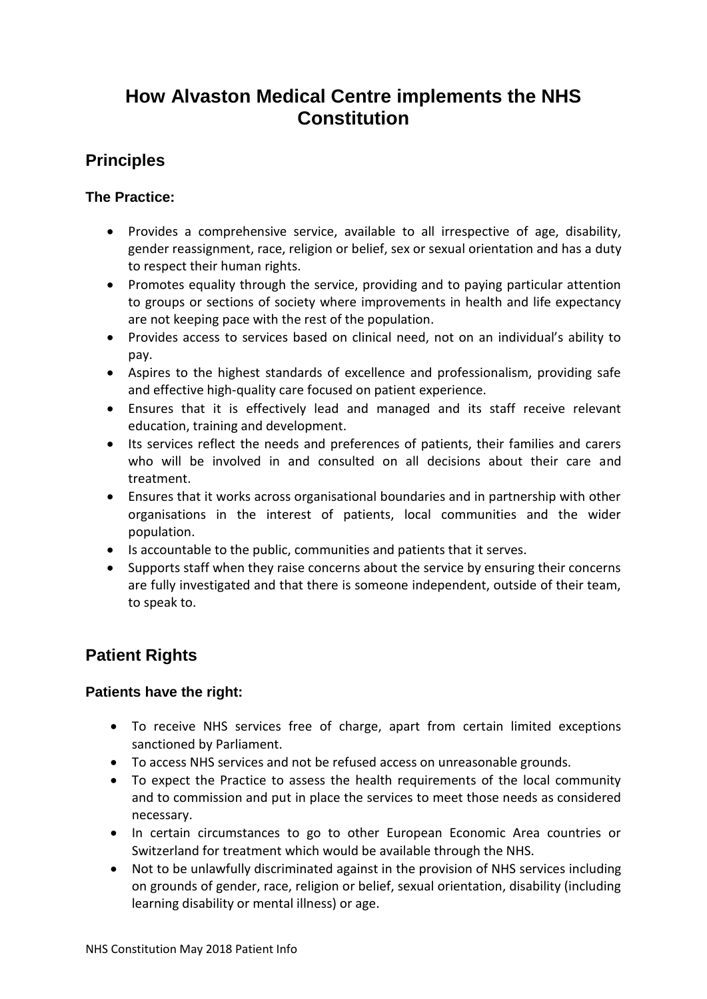# **How Alvaston Medical Centre implements the NHS Constitution**

## **Principles**

### **The Practice:**

- Provides a comprehensive service, available to all irrespective of age, disability, gender reassignment, race, religion or belief, sex or sexual orientation and has a duty to respect their human rights.
- Promotes equality through the service, providing and to paying particular attention to groups or sections of society where improvements in health and life expectancy are not keeping pace with the rest of the population.
- Provides access to services based on clinical need, not on an individual's ability to pay.
- Aspires to the highest standards of excellence and professionalism, providing safe and effective high-quality care focused on patient experience.
- Ensures that it is effectively lead and managed and its staff receive relevant education, training and development.
- Its services reflect the needs and preferences of patients, their families and carers who will be involved in and consulted on all decisions about their care and treatment.
- Ensures that it works across organisational boundaries and in partnership with other organisations in the interest of patients, local communities and the wider population.
- Is accountable to the public, communities and patients that it serves.
- Supports staff when they raise concerns about the service by ensuring their concerns are fully investigated and that there is someone independent, outside of their team, to speak to.

## **Patient Rights**

#### **Patients have the right:**

- To receive NHS services free of charge, apart from certain limited exceptions sanctioned by Parliament.
- To access NHS services and not be refused access on unreasonable grounds.
- To expect the Practice to assess the health requirements of the local community and to commission and put in place the services to meet those needs as considered necessary.
- In certain circumstances to go to other European Economic Area countries or Switzerland for treatment which would be available through the NHS.
- Not to be unlawfully discriminated against in the provision of NHS services including on grounds of gender, race, religion or belief, sexual orientation, disability (including learning disability or mental illness) or age.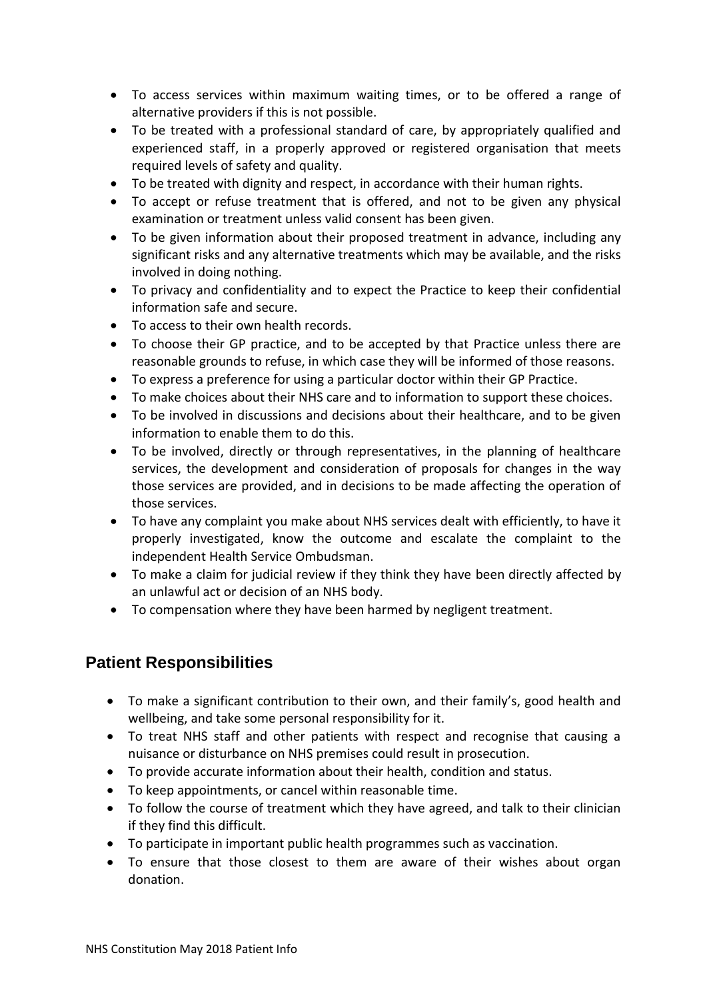- To access services within maximum waiting times, or to be offered a range of alternative providers if this is not possible.
- To be treated with a professional standard of care, by appropriately qualified and experienced staff, in a properly approved or registered organisation that meets required levels of safety and quality.
- To be treated with dignity and respect, in accordance with their human rights.
- To accept or refuse treatment that is offered, and not to be given any physical examination or treatment unless valid consent has been given.
- To be given information about their proposed treatment in advance, including any significant risks and any alternative treatments which may be available, and the risks involved in doing nothing.
- To privacy and confidentiality and to expect the Practice to keep their confidential information safe and secure.
- To access to their own health records.
- To choose their GP practice, and to be accepted by that Practice unless there are reasonable grounds to refuse, in which case they will be informed of those reasons.
- To express a preference for using a particular doctor within their GP Practice.
- To make choices about their NHS care and to information to support these choices.
- To be involved in discussions and decisions about their healthcare, and to be given information to enable them to do this.
- To be involved, directly or through representatives, in the planning of healthcare services, the development and consideration of proposals for changes in the way those services are provided, and in decisions to be made affecting the operation of those services.
- To have any complaint you make about NHS services dealt with efficiently, to have it properly investigated, know the outcome and escalate the complaint to the independent Health Service Ombudsman.
- To make a claim for judicial review if they think they have been directly affected by an unlawful act or decision of an NHS body.
- To compensation where they have been harmed by negligent treatment.

### **Patient Responsibilities**

- To make a significant contribution to their own, and their family's, good health and wellbeing, and take some personal responsibility for it.
- To treat NHS staff and other patients with respect and recognise that causing a nuisance or disturbance on NHS premises could result in prosecution.
- To provide accurate information about their health, condition and status.
- To keep appointments, or cancel within reasonable time.
- To follow the course of treatment which they have agreed, and talk to their clinician if they find this difficult.
- To participate in important public health programmes such as vaccination.
- To ensure that those closest to them are aware of their wishes about organ donation.